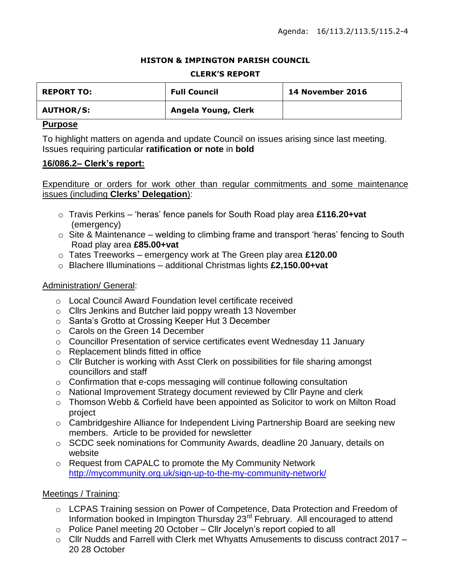### **HISTON & IMPINGTON PARISH COUNCIL**

### **CLERK'S REPORT**

| <b>REPORT TO:</b> | <b>Full Council</b> | <b>14 November 2016</b> |
|-------------------|---------------------|-------------------------|
| <b>AUTHOR/S:</b>  | Angela Young, Clerk |                         |

### **Purpose**

To highlight matters on agenda and update Council on issues arising since last meeting. Issues requiring particular **ratification or note** in **bold**

## **16/086.2– Clerk's report:**

Expenditure or orders for work other than regular commitments and some maintenance issues (including **Clerks' Delegation**):

- o Travis Perkins 'heras' fence panels for South Road play area **£116.20+vat** (emergency)
- $\circ$  Site & Maintenance welding to climbing frame and transport 'heras' fencing to South Road play area **£85.00+vat**
- o Tates Treeworks emergency work at The Green play area **£120.00**
- o Blachere Illuminations additional Christmas lights **£2,150.00+vat**

## Administration/ General:

- o Local Council Award Foundation level certificate received
- o Cllrs Jenkins and Butcher laid poppy wreath 13 November
- o Santa's Grotto at Crossing Keeper Hut 3 December
- o Carols on the Green 14 December
- o Councillor Presentation of service certificates event Wednesday 11 January
- o Replacement blinds fitted in office
- o Cllr Butcher is working with Asst Clerk on possibilities for file sharing amongst councillors and staff
- o Confirmation that e-cops messaging will continue following consultation
- o National Improvement Strategy document reviewed by Cllr Payne and clerk
- o Thomson Webb & Corfield have been appointed as Solicitor to work on Milton Road project
- o Cambridgeshire Alliance for Independent Living Partnership Board are seeking new members. Article to be provided for newsletter
- o SCDC seek nominations for Community Awards, deadline 20 January, details on website
- o Request from CAPALC to promote the My Community Network <http://mycommunity.org.uk/sign-up-to-the-my-community-network/>

## Meetings / Training:

- o LCPAS Training session on Power of Competence, Data Protection and Freedom of Information booked in Impington Thursday 23rd February. All encouraged to attend
- $\circ$  Police Panel meeting 20 October Cllr Jocelyn's report copied to all
- o Cllr Nudds and Farrell with Clerk met Whyatts Amusements to discuss contract 2017 20 28 October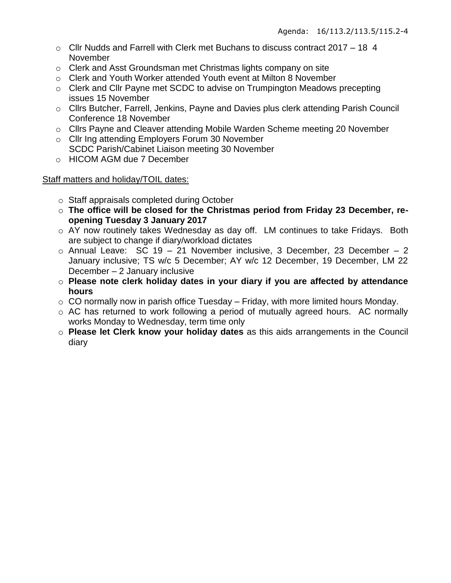- $\circ$  Cllr Nudds and Farrell with Clerk met Buchans to discuss contract 2017 18 4 November
- o Clerk and Asst Groundsman met Christmas lights company on site
- o Clerk and Youth Worker attended Youth event at Milton 8 November
- o Clerk and Cllr Payne met SCDC to advise on Trumpington Meadows precepting issues 15 November
- o Cllrs Butcher, Farrell, Jenkins, Payne and Davies plus clerk attending Parish Council Conference 18 November
- o Cllrs Payne and Cleaver attending Mobile Warden Scheme meeting 20 November
- o Cllr Ing attending Employers Forum 30 November SCDC Parish/Cabinet Liaison meeting 30 November
- o HICOM AGM due 7 December

## Staff matters and holiday/TOIL dates:

- o Staff appraisals completed during October
- o **The office will be closed for the Christmas period from Friday 23 December, reopening Tuesday 3 January 2017**
- o AY now routinely takes Wednesday as day off. LM continues to take Fridays. Both are subject to change if diary/workload dictates
- $\circ$  Annual Leave: SC 19 21 November inclusive, 3 December, 23 December 2 January inclusive; TS w/c 5 December; AY w/c 12 December, 19 December, LM 22 December – 2 January inclusive
- o **Please note clerk holiday dates in your diary if you are affected by attendance hours**
- $\circ$  CO normally now in parish office Tuesday Friday, with more limited hours Monday.
- o AC has returned to work following a period of mutually agreed hours. AC normally works Monday to Wednesday, term time only
- o **Please let Clerk know your holiday dates** as this aids arrangements in the Council diary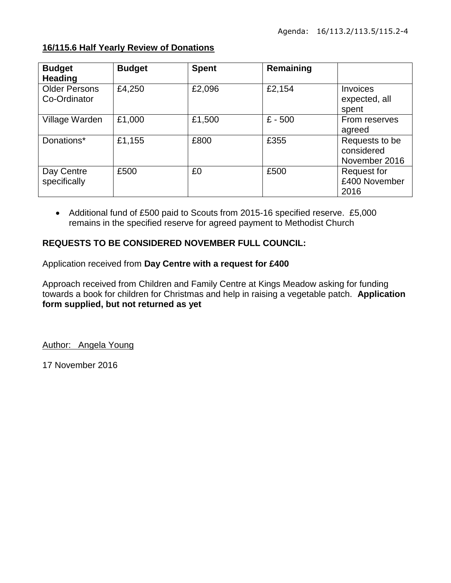| <b>Budget</b><br><b>Heading</b>      | <b>Budget</b> | <b>Spent</b> | Remaining |                                               |
|--------------------------------------|---------------|--------------|-----------|-----------------------------------------------|
| <b>Older Persons</b><br>Co-Ordinator | £4,250        | £2,096       | £2,154    | Invoices<br>expected, all<br>spent            |
| Village Warden                       | £1,000        | £1,500       | $£ - 500$ | From reserves<br>agreed                       |
| Donations*                           | £1,155        | £800         | £355      | Requests to be<br>considered<br>November 2016 |
| Day Centre<br>specifically           | £500          | £0           | £500      | Request for<br>£400 November<br>2016          |

# **16/115.6 Half Yearly Review of Donations**

 Additional fund of £500 paid to Scouts from 2015-16 specified reserve. £5,000 remains in the specified reserve for agreed payment to Methodist Church

# **REQUESTS TO BE CONSIDERED NOVEMBER FULL COUNCIL:**

Application received from **Day Centre with a request for £400**

Approach received from Children and Family Centre at Kings Meadow asking for funding towards a book for children for Christmas and help in raising a vegetable patch. **Application form supplied, but not returned as yet**

Author: Angela Young

17 November 2016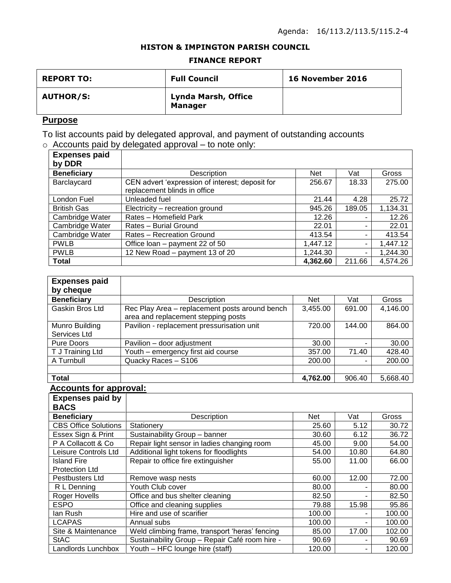### **HISTON & IMPINGTON PARISH COUNCIL**

#### **FINANCE REPORT**

| <b>REPORT TO:</b> | <b>Full Council</b>                   | <b>16 November 2016</b> |
|-------------------|---------------------------------------|-------------------------|
| <b>AUTHOR/S:</b>  | Lynda Marsh, Office<br><b>Manager</b> |                         |

# **Purpose**

To list accounts paid by delegated approval, and payment of outstanding accounts  $\circ$  Accounts paid by delegated approval – to note only:

| <b>Expenses paid</b> |                                                 |            |        |          |
|----------------------|-------------------------------------------------|------------|--------|----------|
| by DDR               |                                                 |            |        |          |
| <b>Beneficiary</b>   | Description                                     | <b>Net</b> | Vat    | Gross    |
| Barclaycard          | CEN advert 'expression of interest; deposit for | 256.67     | 18.33  | 275.00   |
|                      | replacement blinds in office                    |            |        |          |
| London Fuel          | Unleaded fuel                                   | 21.44      | 4.28   | 25.72    |
| <b>British Gas</b>   | Electricity - recreation ground                 | 945.26     | 189.05 | 1,134.31 |
| Cambridge Water      | Rates - Homefield Park                          | 12.26      |        | 12.26    |
| Cambridge Water      | Rates - Burial Ground                           | 22.01      |        | 22.01    |
| Cambridge Water      | Rates - Recreation Ground                       | 413.54     |        | 413.54   |
| <b>PWLB</b>          | Office loan – payment 22 of 50                  | 1,447.12   | ۰.     | 1,447.12 |
| <b>PWLB</b>          | 12 New Road - payment 13 of 20                  | 1,244.30   | -      | 1,244.30 |
| <b>Total</b>         |                                                 | 4,362.60   | 211.66 | 4,574.26 |

| <b>Expenses paid</b> |                                                                                       |            |        |          |
|----------------------|---------------------------------------------------------------------------------------|------------|--------|----------|
| by cheque            |                                                                                       |            |        |          |
| <b>Beneficiary</b>   | Description                                                                           | <b>Net</b> | Vat    | Gross    |
| Gaskin Bros Ltd      | Rec Play Area - replacement posts around bench<br>area and replacement stepping posts | 3,455.00   | 691.00 | 4,146.00 |
| Munro Building       | Pavilion - replacement pressurisation unit                                            | 720.00     | 144.00 | 864.00   |
| Services Ltd         |                                                                                       |            |        |          |
| Pure Doors           | Pavilion - door adjustment                                                            | 30.00      |        | 30.00    |
| T J Training Ltd     | Youth - emergency first aid course                                                    | 357.00     | 71.40  | 428.40   |
| A Turnbull           | Quacky Races - S106                                                                   | 200.00     |        | 200.00   |
|                      |                                                                                       |            |        |          |
| <b>Total</b>         |                                                                                       | 4,762.00   | 906.40 | 5,668.40 |

#### **Accounts for approval:**

| <b>Expenses paid by</b>     |                                                |        |       |        |
|-----------------------------|------------------------------------------------|--------|-------|--------|
| <b>BACS</b>                 |                                                |        |       |        |
| <b>Beneficiary</b>          | Description                                    | Net    | Vat   | Gross  |
| <b>CBS Office Solutions</b> | Stationery                                     | 25.60  | 5.12  | 30.72  |
| Essex Sign & Print          | Sustainability Group - banner                  | 30.60  | 6.12  | 36.72  |
| P A Collacott & Co          | Repair light sensor in ladies changing room    | 45.00  | 9.00  | 54.00  |
| Leisure Controls Ltd        | Additional light tokens for floodlights        | 54.00  | 10.80 | 64.80  |
| <b>Island Fire</b>          | Repair to office fire extinguisher             | 55.00  | 11.00 | 66.00  |
| <b>Protection Ltd</b>       |                                                |        |       |        |
| <b>Pestbusters Ltd</b>      | Remove wasp nests                              | 60.00  | 12.00 | 72.00  |
| R L Denning                 | Youth Club cover                               | 80.00  |       | 80.00  |
| Roger Hovells               | Office and bus shelter cleaning                | 82.50  |       | 82.50  |
| <b>ESPO</b>                 | Office and cleaning supplies                   | 79.88  | 15.98 | 95.86  |
| lan Rush                    | Hire and use of scarifier                      | 100.00 |       | 100.00 |
| <b>LCAPAS</b>               | Annual subs                                    | 100.00 | ۰     | 100.00 |
| Site & Maintenance          | Weld climbing frame, transport 'heras' fencing | 85.00  | 17.00 | 102.00 |
| <b>StAC</b>                 | Sustainability Group - Repair Café room hire - | 90.69  |       | 90.69  |
| Landlords Lunchbox          | Youth - HFC lounge hire (staff)                | 120.00 |       | 120.00 |